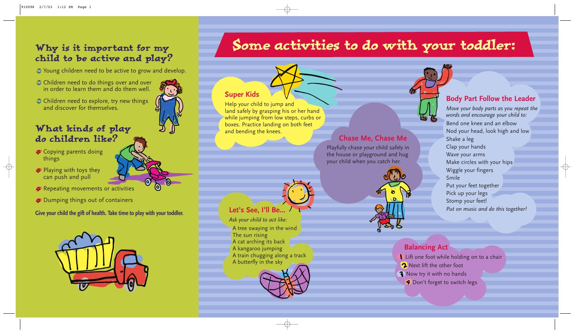## Why is it important for my child to be active and play?

Young children need to be active to grow and develop.

- **C** Children need to do things over and over in order to learn them and do them well.
- **Children need to explore, try new things** and discover for themselves.

# What kinds of play do children like?

- Copying parents doing things
- **Playing with toys they** can push and pull
- *F* Repeating movements or activities
- Dumping things out of containers

**Give your child the gift of health. Take time to play with your toddler.**



# Some activities to do with your toddler:

#### **Chase Me, Chase Me**

Playfully chase your child safely in the house or playground and hug your child when you catch her.



#### **Body Part Follow the Leader**

Lift one foot while holding on to a chair **2** Next lift the other foot **3** Now try it with no hands **P** Don't forget to switch legs

*Move your body parts as you repeat the words and encourage your child to:*

Bend one knee and an elbow Nod your head, look high and low Shake a leg Clap your hands Wave your arms Make circles with your hips Wiggle your fingers Smile Put your feet together Pick up your legs Stomp your feet! *Put on music and do this together!*

 $\oplus$ 

#### **Super Kids**

Help your child to jump and land safely by grasping his or her hand while jumping from low steps, curbs or boxes. Practice landing on both feet and bending the knees.

## **Let's See, I'll Be...**

*Ask your child to act like:* A tree swaying in the wind The sun rising A cat arching its back A kangaroo jumping A train chugging along a track A butterfly in the sky



#### **Balancing Act**